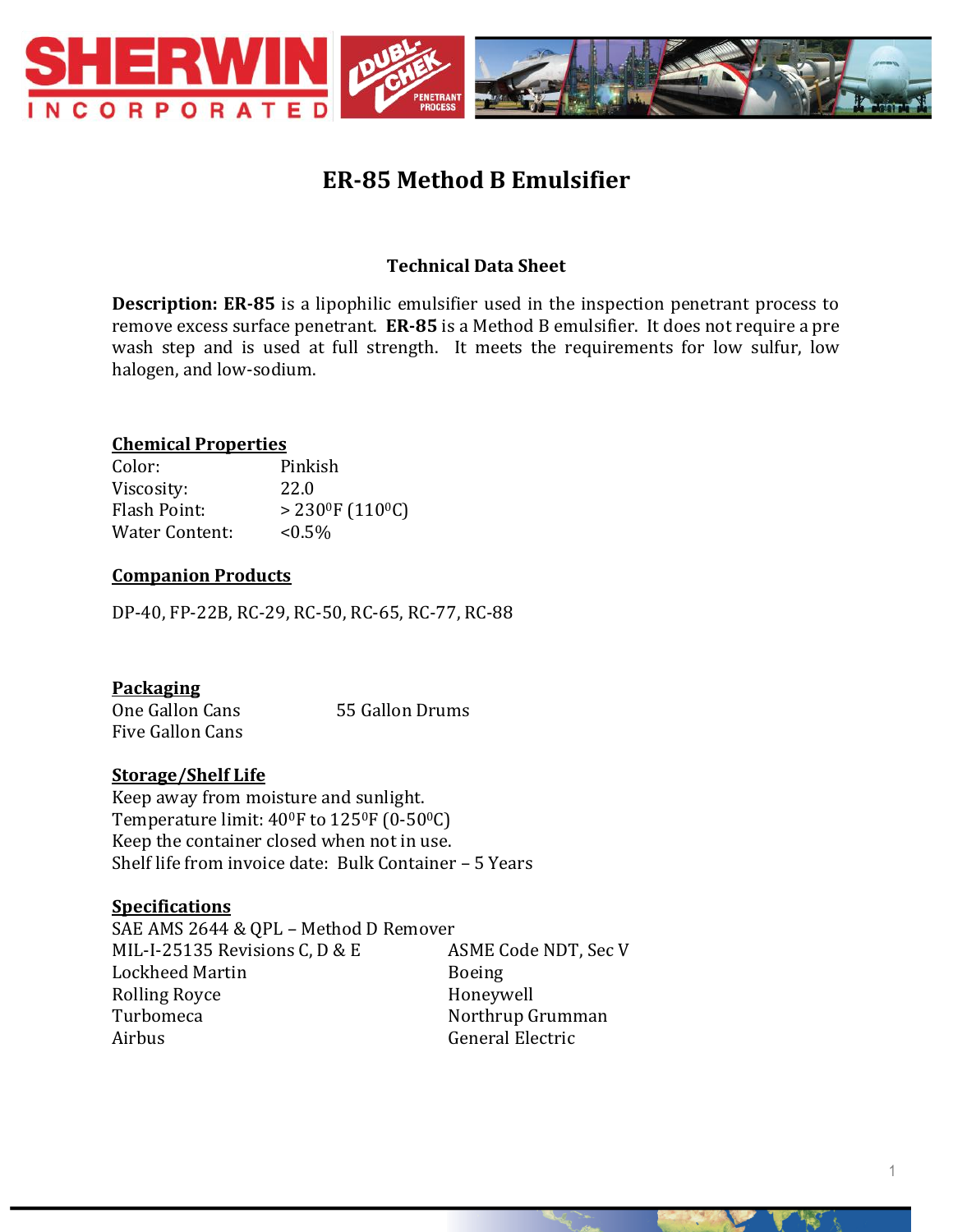

# **ER-85 Method B Emulsifier**

# **Technical Data Sheet**

**Description: ER-85** is a lipophilic emulsifier used in the inspection penetrant process to remove excess surface penetrant. **ER-85** is a Method B emulsifier. It does not require a pre wash step and is used at full strength. It meets the requirements for low sulfur, low halogen, and low-sodium.

#### **Chemical Properties**

Color: Pinkish Viscosity: 22.0 Flash Point:  $> 230^{\circ}F(110^{\circ}C)$ Water Content: <0.5%

#### **Companion Products**

DP-40, FP-22B, RC-29, RC-50, RC-65, RC-77, RC-88

# **Packaging**

One Gallon Cans 55 Gallon Drums Five Gallon Cans

# **Storage/Shelf Life**

Keep away from moisture and sunlight. Temperature limit:  $40^{\circ}$ F to  $125^{\circ}$ F (0-50 $^{\circ}$ C) Keep the container closed when not in use. Shelf life from invoice date: Bulk Container – 5 Years

# **Specifications**

SAE AMS 2644 & QPL – Method D Remover MIL-I-25135 Revisions C, D & E ASME Code NDT, Sec V Lockheed Martin Boeing Rolling Royce Honeywell Turbomeca Northrup Grumman Airbus General Electric